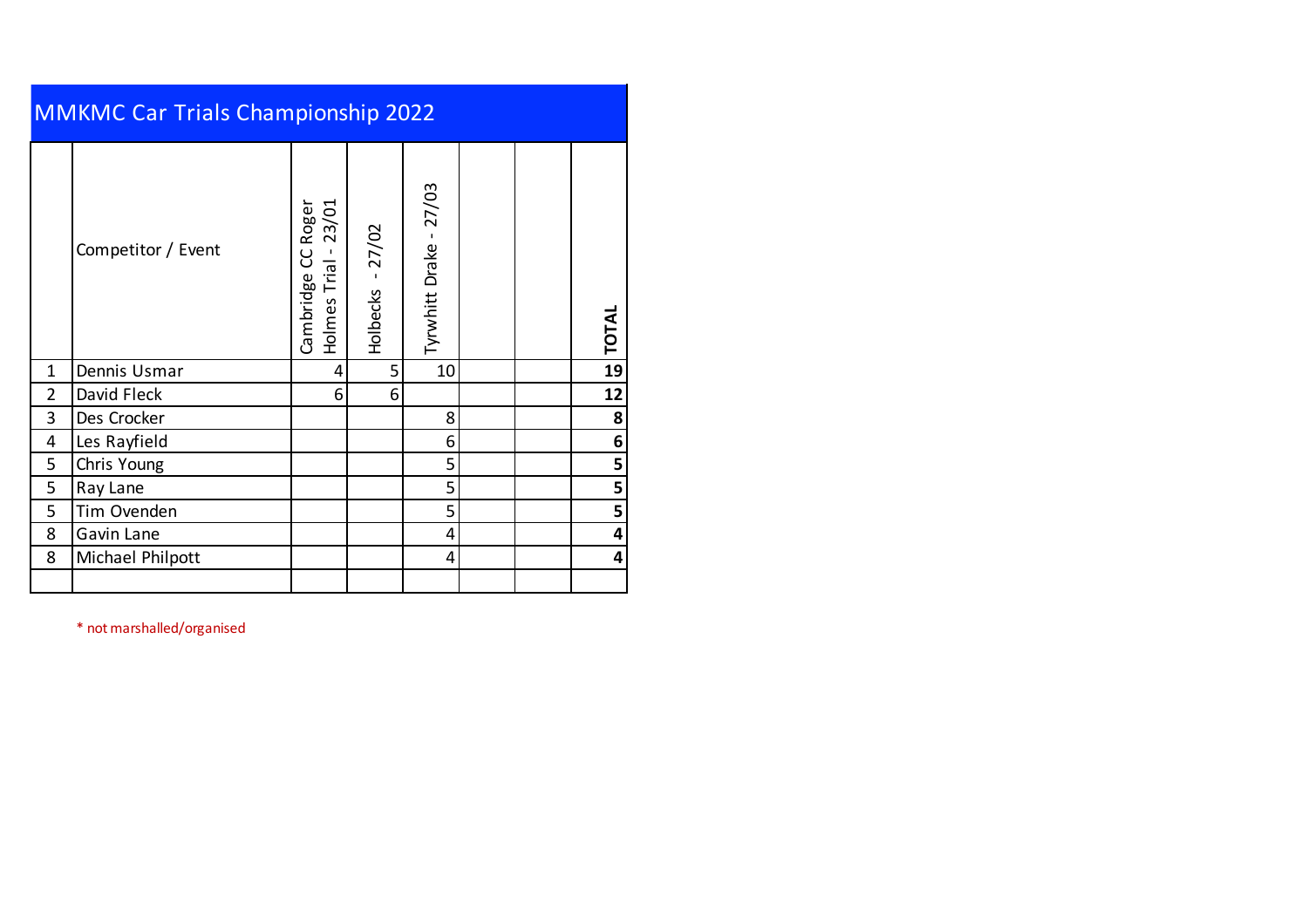|              | <b>MMKMC Car Trials Championship 2022</b> |                                                    |                      |                        |  |  |              |  |  |  |  |  |
|--------------|-------------------------------------------|----------------------------------------------------|----------------------|------------------------|--|--|--------------|--|--|--|--|--|
|              | Competitor / Event                        | Roger<br>23/01<br>ပ<br>Holmes Trial -<br>Cambridge | $-27/02$<br>Holbecks | Tyrwhitt Drake - 27/03 |  |  | <b>TOTAL</b> |  |  |  |  |  |
| $\mathbf{1}$ | Dennis Usmar                              | 4                                                  | 5                    | 10                     |  |  | 19           |  |  |  |  |  |
| 2            | David Fleck                               | 6                                                  | 6                    |                        |  |  | 12           |  |  |  |  |  |
| 3            | Des Crocker                               |                                                    |                      | 8                      |  |  | 8            |  |  |  |  |  |
| 4            | Les Rayfield                              |                                                    |                      | 6                      |  |  | 6            |  |  |  |  |  |
| 5            | Chris Young                               |                                                    |                      | 5                      |  |  | 5            |  |  |  |  |  |
| 5            | Ray Lane                                  |                                                    |                      | 5                      |  |  | 5            |  |  |  |  |  |
| 5            | Tim Ovenden                               |                                                    |                      | 5                      |  |  | 5            |  |  |  |  |  |
| 8            | Gavin Lane                                |                                                    |                      | 4                      |  |  | 4            |  |  |  |  |  |
| 8            | Michael Philpott                          |                                                    |                      | 4                      |  |  | 4            |  |  |  |  |  |
|              |                                           |                                                    |                      |                        |  |  |              |  |  |  |  |  |

\* not marshalled/organised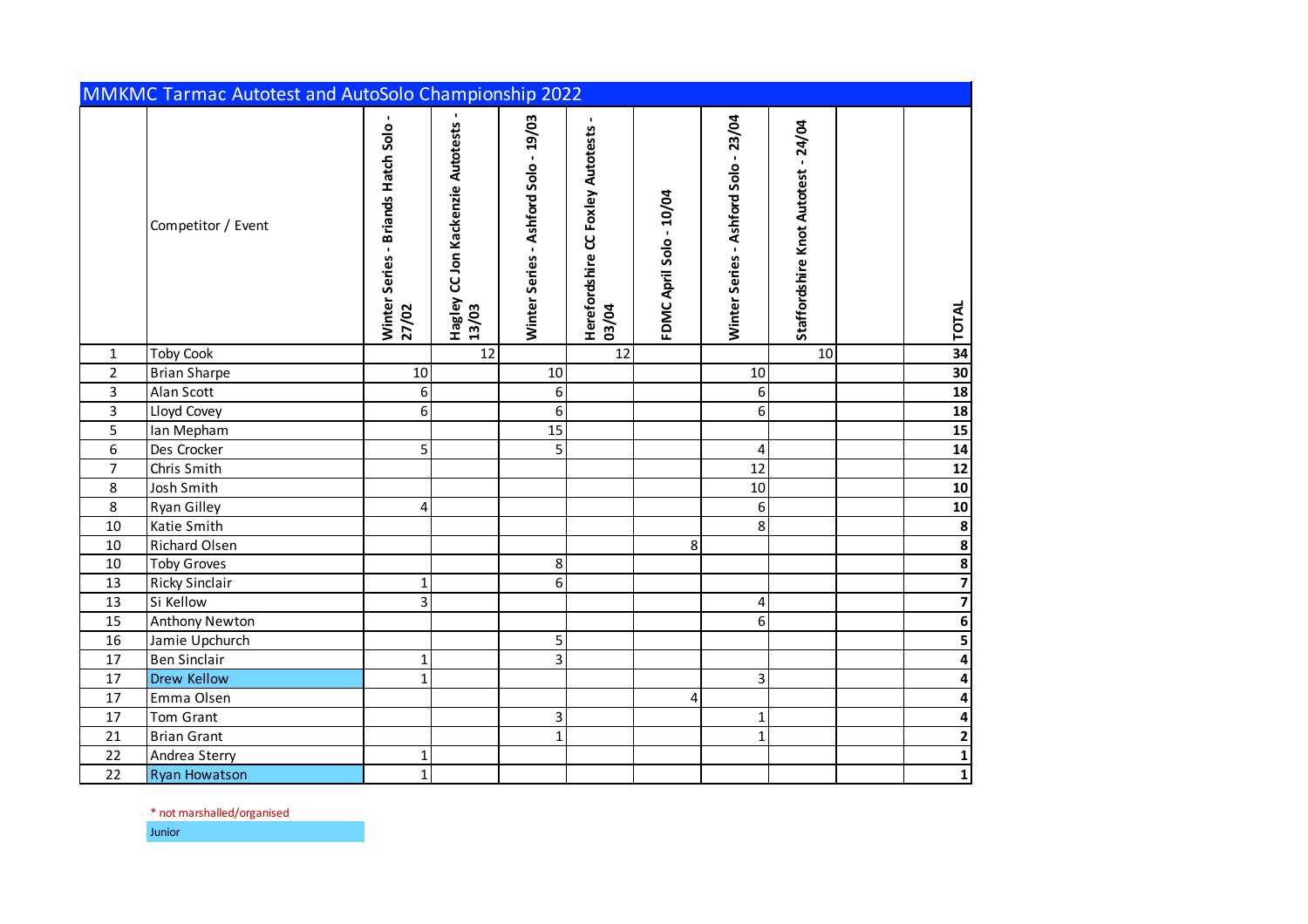|                | MMKMC Tarmac Autotest and AutoSolo Championship 2022 |                                             |                                            |                                      |                                            |                         |                                      |                                     |                         |
|----------------|------------------------------------------------------|---------------------------------------------|--------------------------------------------|--------------------------------------|--------------------------------------------|-------------------------|--------------------------------------|-------------------------------------|-------------------------|
|                | Competitor / Event                                   | Winter Series - Briands Hatch Solo<br>27/02 | Hagley CC Jon Kackenzie Autotests<br>13/03 | Winter Series - Ashford Solo - 19/03 | Herefordshire CC Foxley Autotests<br>03/04 | FDMC April Solo - 10/04 | Winter Series - Ashford Solo - 23/04 | Staffordshire Knot Autotest - 24/04 | <b>TOTAL</b>            |
| $\mathbf{1}$   | <b>Toby Cook</b>                                     |                                             | 12                                         |                                      | 12                                         |                         |                                      | 10                                  | 34                      |
| $\overline{2}$ | <b>Brian Sharpe</b>                                  | 10                                          |                                            | 10                                   |                                            |                         | 10                                   |                                     | 30                      |
| $\overline{3}$ | Alan Scott                                           | 6                                           |                                            | 6                                    |                                            |                         | 6                                    |                                     | 18                      |
| $\overline{3}$ | <b>Lloyd Covey</b>                                   | 6                                           |                                            | $\overline{6}$                       |                                            |                         | 6                                    |                                     | 18                      |
| 5              | Ian Mepham                                           |                                             |                                            | 15                                   |                                            |                         |                                      |                                     | 15                      |
| 6              | Des Crocker                                          | 5                                           |                                            | 5                                    |                                            |                         | 4                                    |                                     | 14                      |
| $\overline{7}$ | Chris Smith                                          |                                             |                                            |                                      |                                            |                         | 12                                   |                                     | $12$                    |
| 8              | Josh Smith                                           |                                             |                                            |                                      |                                            |                         | 10                                   |                                     | 10                      |
| $\overline{8}$ | <b>Ryan Gilley</b>                                   | 4                                           |                                            |                                      |                                            |                         | 6                                    |                                     | 10                      |
| 10             | Katie Smith                                          |                                             |                                            |                                      |                                            |                         | 8                                    |                                     | $\infty$ $\infty$       |
| 10             | Richard Olsen                                        |                                             |                                            |                                      |                                            | 8                       |                                      |                                     |                         |
| $10\,$         | <b>Toby Groves</b>                                   |                                             |                                            | 8                                    |                                            |                         |                                      |                                     | $\frac{8}{1}$           |
| 13             | <b>Ricky Sinclair</b>                                | 1                                           |                                            | 6                                    |                                            |                         |                                      |                                     |                         |
| 13             | Si Kellow                                            | 3                                           |                                            |                                      |                                            |                         | 4                                    |                                     | $\overline{\mathbf{z}}$ |
| 15             | Anthony Newton                                       |                                             |                                            |                                      |                                            |                         | 6                                    |                                     | $\overline{\mathbf{6}}$ |
| 16             | Jamie Upchurch                                       |                                             |                                            | 5                                    |                                            |                         |                                      |                                     | $\overline{\mathbf{5}}$ |
| 17             | <b>Ben Sinclair</b>                                  | $\mathbf{1}$                                |                                            | $\overline{3}$                       |                                            |                         |                                      |                                     | $\overline{\mathbf{4}}$ |
| 17             | Drew Kellow                                          | $\mathbf{1}$                                |                                            |                                      |                                            |                         | 3                                    |                                     | 4                       |
| 17             | Emma Olsen                                           |                                             |                                            |                                      |                                            | $\overline{4}$          |                                      |                                     | 4                       |
| 17             | Tom Grant                                            |                                             |                                            | 3                                    |                                            |                         | $\mathbf{1}$                         |                                     | 4                       |
| 21             | <b>Brian Grant</b>                                   |                                             |                                            | $\mathbf{1}$                         |                                            |                         | $\mathbf 1$                          |                                     | $\overline{\mathbf{c}}$ |
| 22             | Andrea Sterry                                        | $\mathbf{1}$                                |                                            |                                      |                                            |                         |                                      |                                     | $\overline{\mathbf{1}}$ |
| 22             | <b>Ryan Howatson</b>                                 | $\mathbf{1}$                                |                                            |                                      |                                            |                         |                                      |                                     | $\overline{\mathbf{1}}$ |

\* not marshalled/organised

Junior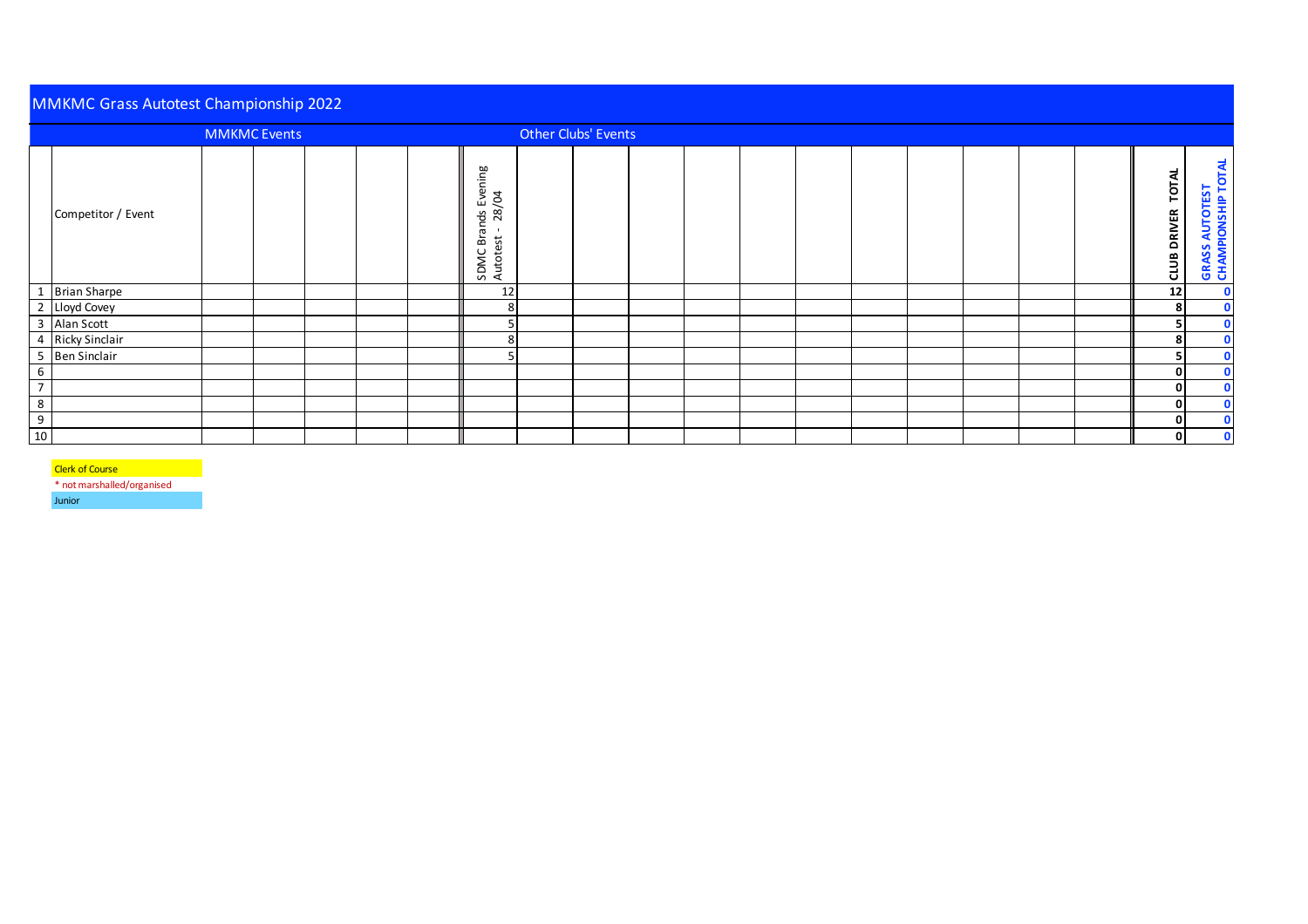|                | <b>MMKMC Grass Autotest Championship 2022</b> |                     |  |  |  |  |                                                       |  |                     |  |  |  |  |  |  |                               |                                              |
|----------------|-----------------------------------------------|---------------------|--|--|--|--|-------------------------------------------------------|--|---------------------|--|--|--|--|--|--|-------------------------------|----------------------------------------------|
|                |                                               | <b>MMKMC Events</b> |  |  |  |  |                                                       |  | Other Clubs' Events |  |  |  |  |  |  |                               |                                              |
|                | Competitor / Event                            |                     |  |  |  |  | Brands Evening<br>est - 28/04<br>SDMC Bra<br>Autotest |  |                     |  |  |  |  |  |  | TOTAL<br><b>DRIVER</b><br>anp | <b>GRASS AUTOTEST<br/>CHAMPIONSHIP TOTAL</b> |
|                | <b>Brian Sharpe</b>                           |                     |  |  |  |  | 12                                                    |  |                     |  |  |  |  |  |  | 12                            | $\mathbf 0$                                  |
|                | 2 Lloyd Covey                                 |                     |  |  |  |  | 8                                                     |  |                     |  |  |  |  |  |  | 8                             | $\mathbf 0$                                  |
| 3              | Alan Scott                                    |                     |  |  |  |  |                                                       |  |                     |  |  |  |  |  |  | 5                             | $\mathbf 0$                                  |
| 4              | <b>Ricky Sinclair</b>                         |                     |  |  |  |  | 8                                                     |  |                     |  |  |  |  |  |  | 8                             | $\mathbf{0}$                                 |
|                | 5 Ben Sinclair                                |                     |  |  |  |  |                                                       |  |                     |  |  |  |  |  |  | 5                             | $\mathbf{0}$                                 |
| 6              |                                               |                     |  |  |  |  |                                                       |  |                     |  |  |  |  |  |  | 0                             | $\mathbf 0$                                  |
| $\overline{ }$ |                                               |                     |  |  |  |  |                                                       |  |                     |  |  |  |  |  |  | $\mathbf{0}$                  | $\mathbf{0}$                                 |
| $\bf 8$        |                                               |                     |  |  |  |  |                                                       |  |                     |  |  |  |  |  |  | 0                             | $\mathbf{0}$                                 |
| 9              |                                               |                     |  |  |  |  |                                                       |  |                     |  |  |  |  |  |  | 0                             | $\mathbf{0}$                                 |
| 10             |                                               |                     |  |  |  |  |                                                       |  |                     |  |  |  |  |  |  | $\mathbf{0}$                  | $\bullet$                                    |

## **Clerk of Course**

\* not marshalled/organised

Junior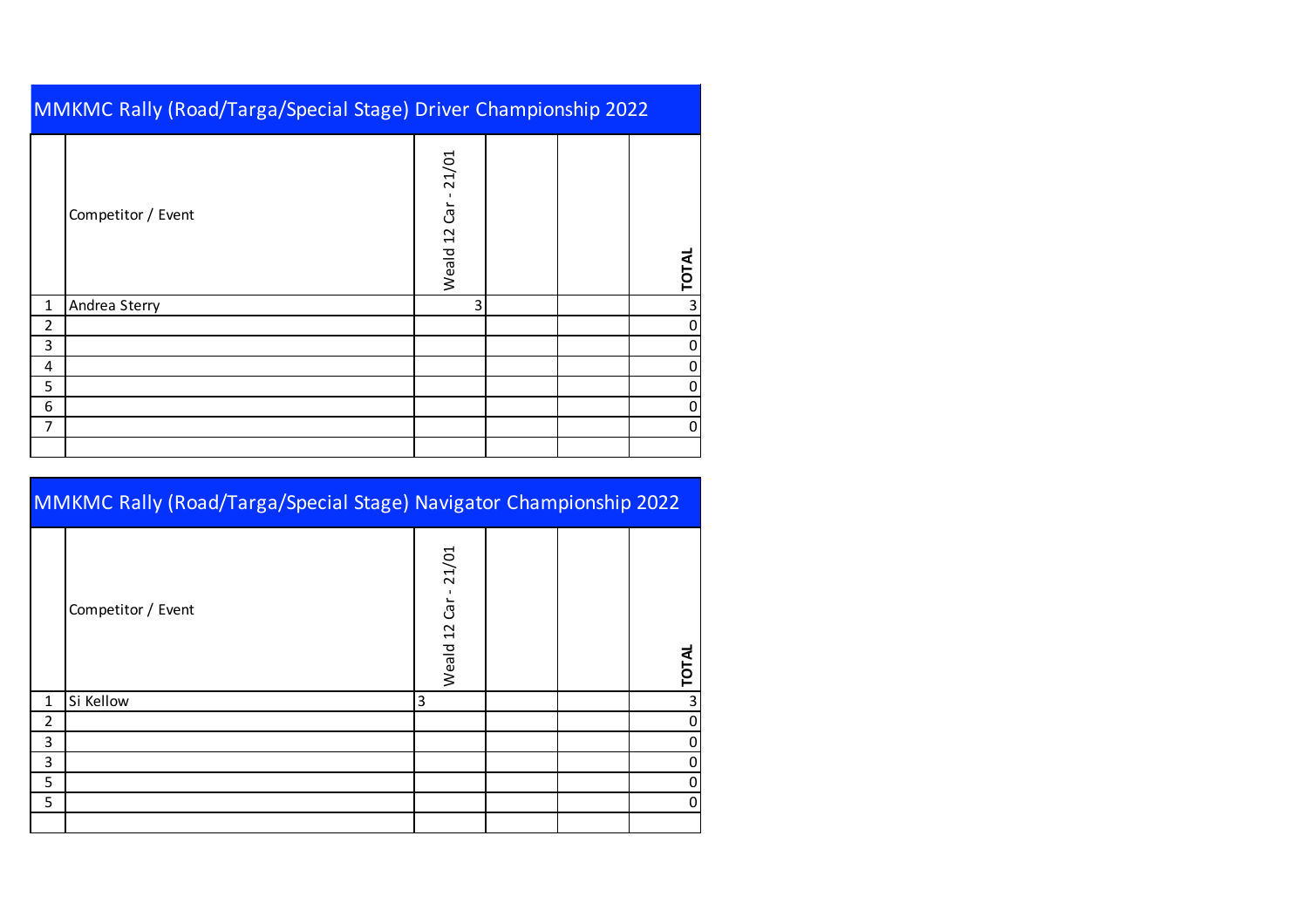|   | MMKMC Rally (Road/Targa/Special Stage) Driver Championship 2022 |                           |  |  |              |  |  |  |  |  |  |
|---|-----------------------------------------------------------------|---------------------------|--|--|--------------|--|--|--|--|--|--|
|   | Competitor / Event                                              | $Car - 21/01$<br>Weald 12 |  |  | <b>TOTAL</b> |  |  |  |  |  |  |
| 1 | Andrea Sterry                                                   | 3                         |  |  | 3            |  |  |  |  |  |  |
| 2 |                                                                 |                           |  |  |              |  |  |  |  |  |  |
| 3 |                                                                 |                           |  |  |              |  |  |  |  |  |  |
| 4 |                                                                 |                           |  |  | 0            |  |  |  |  |  |  |
| 5 |                                                                 |                           |  |  | 0            |  |  |  |  |  |  |
| 6 |                                                                 |                           |  |  | 0            |  |  |  |  |  |  |
| 7 |                                                                 |                           |  |  | 0            |  |  |  |  |  |  |
|   |                                                                 |                           |  |  |              |  |  |  |  |  |  |

|   | <b>MMKMC Rally (Road/Targa/Special Stage) Navigator Championship 2022</b> |                           |  |  |              |  |  |  |  |  |
|---|---------------------------------------------------------------------------|---------------------------|--|--|--------------|--|--|--|--|--|
|   | Competitor / Event                                                        | $Car - 21/01$<br>Weald 12 |  |  | <b>TOTAL</b> |  |  |  |  |  |
| 1 | Si Kellow                                                                 | 3                         |  |  |              |  |  |  |  |  |
| 2 |                                                                           |                           |  |  |              |  |  |  |  |  |
| 3 |                                                                           |                           |  |  |              |  |  |  |  |  |
| 3 |                                                                           |                           |  |  |              |  |  |  |  |  |
| 5 |                                                                           |                           |  |  |              |  |  |  |  |  |
| 5 |                                                                           |                           |  |  |              |  |  |  |  |  |
|   |                                                                           |                           |  |  |              |  |  |  |  |  |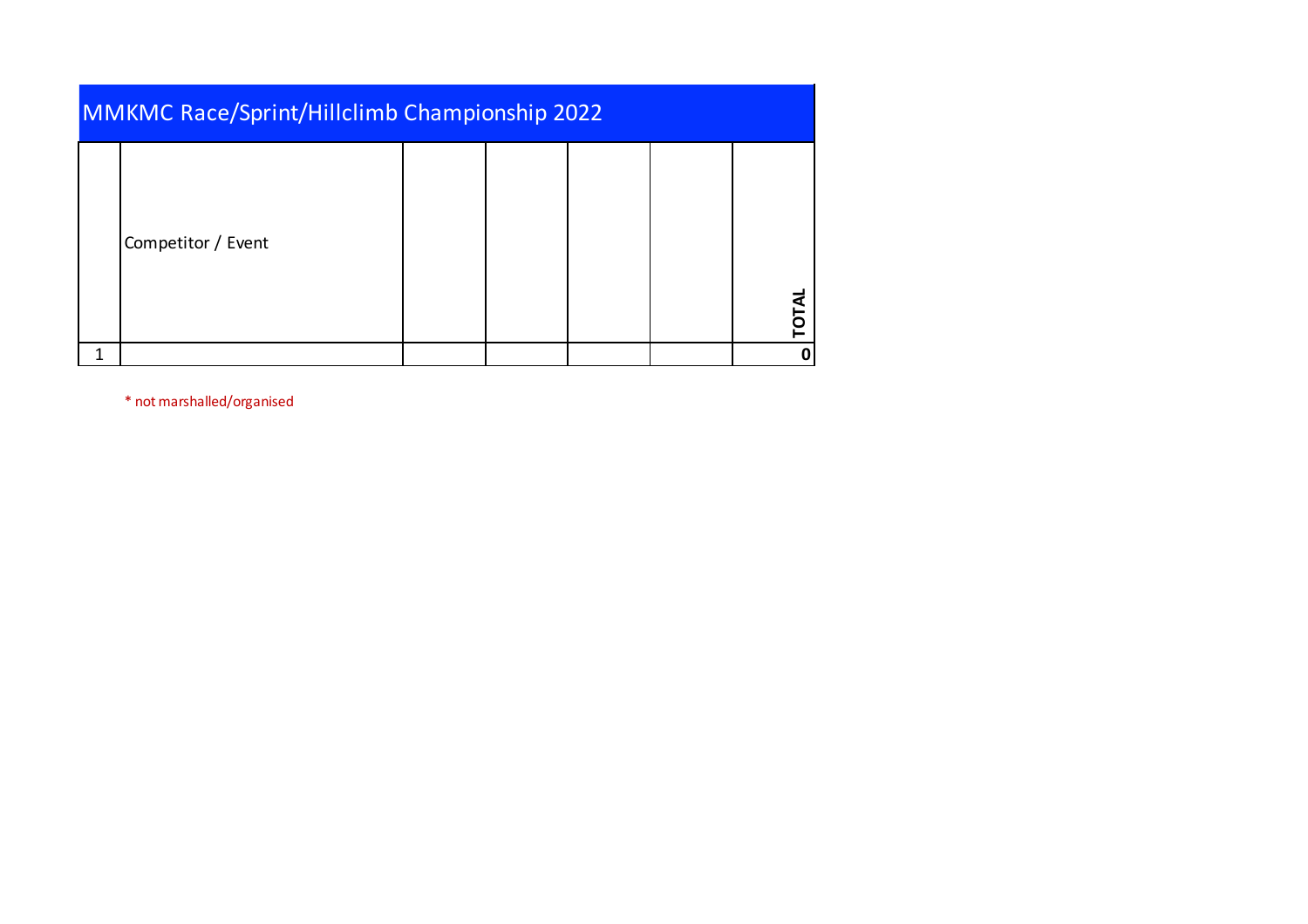| <b>MMKMC Race/Sprint/Hillclimb Championship 2022</b> |  |  |              |
|------------------------------------------------------|--|--|--------------|
| Competitor / Event                                   |  |  | <b>TOTAL</b> |
|                                                      |  |  |              |

\* not marshalled/organised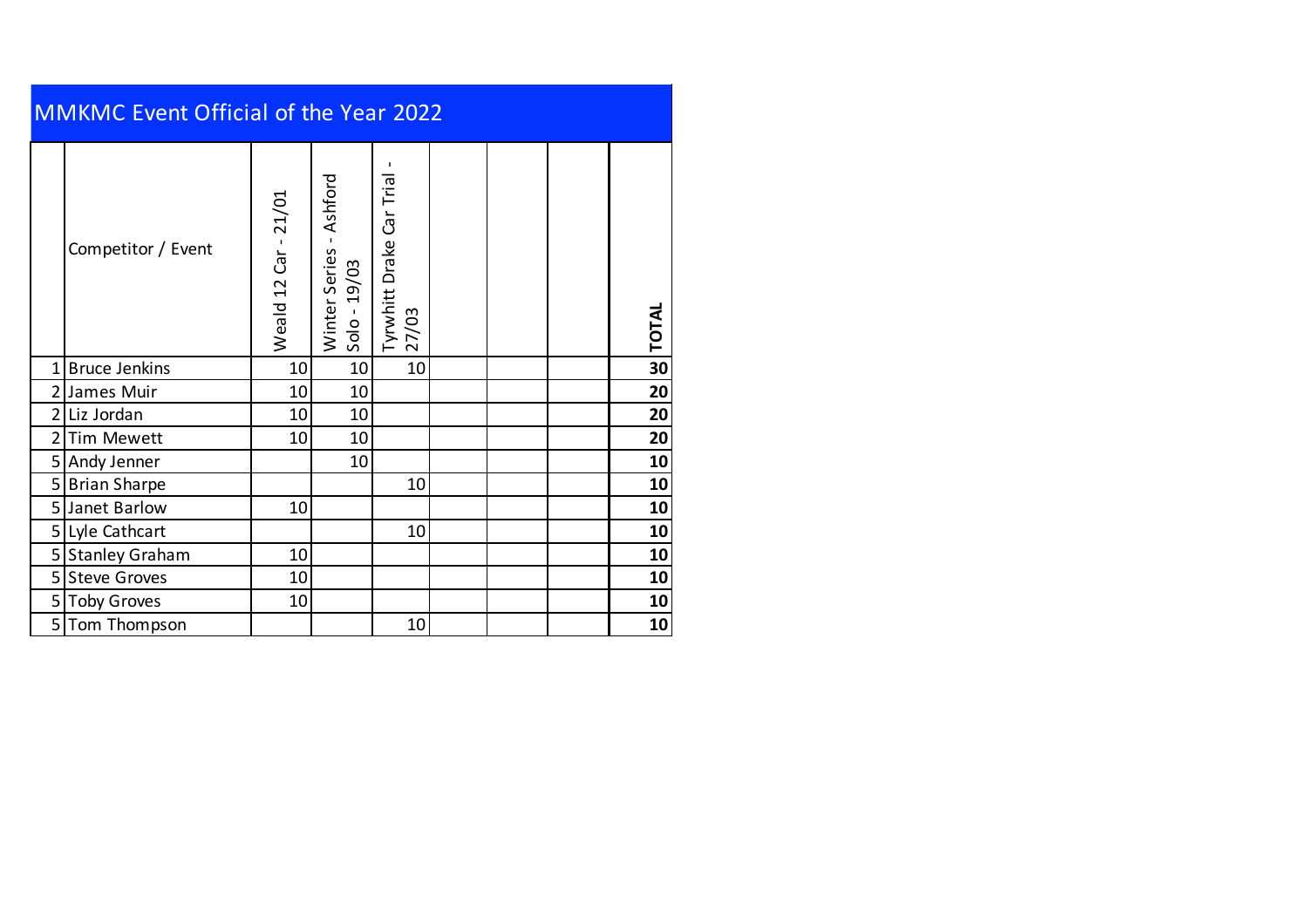| <b>MMKMC Event Official of the Year 2022</b> |                       |                      |                                                               |                                   |  |  |  |              |  |  |  |
|----------------------------------------------|-----------------------|----------------------|---------------------------------------------------------------|-----------------------------------|--|--|--|--------------|--|--|--|
|                                              | Competitor / Event    | Weald 12 Car - 21/01 | Ashford<br>$\mathbf{L}$<br>Winter Series<br>19/03<br>$Solo -$ | Tyrwhitt Drake Car Trial<br>27/03 |  |  |  | <b>TOTAL</b> |  |  |  |
| 1 <sup>1</sup>                               | <b>Bruce Jenkins</b>  | 10                   | 10                                                            | 10                                |  |  |  | 30           |  |  |  |
| $\overline{2}$                               | James Muir            | 10                   | 10                                                            |                                   |  |  |  | 20           |  |  |  |
| $\overline{2}$                               | Liz Jordan            | 10                   | 10                                                            |                                   |  |  |  | 20           |  |  |  |
| $\overline{2}$                               | <b>Tim Mewett</b>     | 10                   | 10                                                            |                                   |  |  |  | 20           |  |  |  |
| 5                                            | Andy Jenner           |                      | 10                                                            |                                   |  |  |  | 10           |  |  |  |
|                                              | 5 Brian Sharpe        |                      |                                                               | 10                                |  |  |  | 10           |  |  |  |
| 5 <sub>l</sub>                               | Janet Barlow          | 10                   |                                                               |                                   |  |  |  | 10           |  |  |  |
| 5 <sup>1</sup>                               | Lyle Cathcart         |                      |                                                               | 10                                |  |  |  | 10           |  |  |  |
| 5 <sup>1</sup>                               | <b>Stanley Graham</b> | 10                   |                                                               |                                   |  |  |  | 10           |  |  |  |
| 5 <sub>l</sub>                               | <b>Steve Groves</b>   | 10                   |                                                               |                                   |  |  |  | 10           |  |  |  |
|                                              | 5 Toby Groves         | 10                   |                                                               |                                   |  |  |  | 10           |  |  |  |
| 5                                            | Tom Thompson          |                      |                                                               | 10                                |  |  |  | 10           |  |  |  |